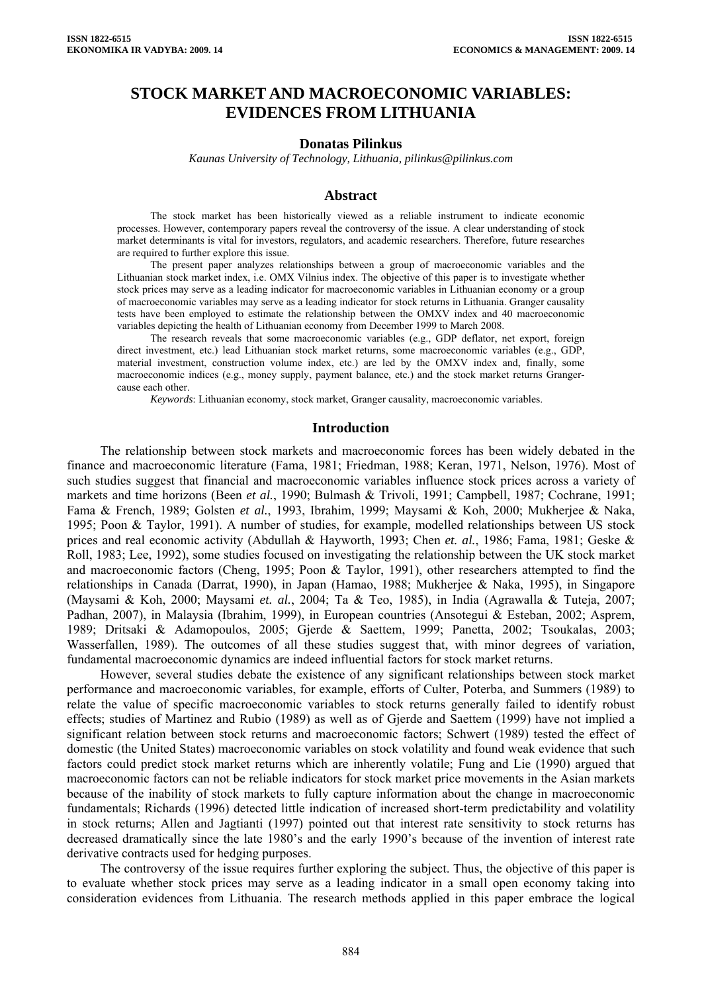# **STOCK MARKET AND MACROECONOMIC VARIABLES: EVIDENCES FROM LITHUANIA**

#### **Donatas Pilinkus**

*Kaunas University of Technology, Lithuania, pilinkus@pilinkus.com* 

#### **Abstract**

The stock market has been historically viewed as a reliable instrument to indicate economic processes. However, contemporary papers reveal the controversy of the issue. A clear understanding of stock market determinants is vital for investors, regulators, and academic researchers. Therefore, future researches are required to further explore this issue.

The present paper analyzes relationships between a group of macroeconomic variables and the Lithuanian stock market index, i.e. OMX Vilnius index. The objective of this paper is to investigate whether stock prices may serve as a leading indicator for macroeconomic variables in Lithuanian economy or a group of macroeconomic variables may serve as a leading indicator for stock returns in Lithuania. Granger causality tests have been employed to estimate the relationship between the OMXV index and 40 macroeconomic variables depicting the health of Lithuanian economy from December 1999 to March 2008.

The research reveals that some macroeconomic variables (e.g., GDP deflator, net export, foreign direct investment, etc.) lead Lithuanian stock market returns, some macroeconomic variables (e.g., GDP, material investment, construction volume index, etc.) are led by the OMXV index and, finally, some macroeconomic indices (e.g., money supply, payment balance, etc.) and the stock market returns Grangercause each other.

*Keywords*: Lithuanian economy, stock market, Granger causality, macroeconomic variables.

#### **Introduction**

The relationship between stock markets and macroeconomic forces has been widely debated in the finance and macroeconomic literature (Fama, 1981; Friedman, 1988; Keran, 1971, Nelson, 1976). Most of such studies suggest that financial and macroeconomic variables influence stock prices across a variety of markets and time horizons (Been *et al.*, 1990; Bulmash & Trivoli, 1991; Campbell, 1987; Cochrane, 1991; Fama & French, 1989; Golsten *et al.*, 1993, Ibrahim, 1999; Maysami & Koh, 2000; Mukherjee & Naka, 1995; Poon & Taylor, 1991). A number of studies, for example, modelled relationships between US stock prices and real economic activity (Abdullah & Hayworth, 1993; Chen *et. al.*, 1986; Fama, 1981; Geske & Roll, 1983; Lee, 1992), some studies focused on investigating the relationship between the UK stock market and macroeconomic factors (Cheng, 1995; Poon & Taylor, 1991), other researchers attempted to find the relationships in Canada (Darrat, 1990), in Japan (Hamao, 1988; Mukherjee & Naka, 1995), in Singapore (Maysami & Koh, 2000; Maysami *et. al.*, 2004; Ta & Teo, 1985), in India (Agrawalla & Tuteja, 2007; Padhan, 2007), in Malaysia (Ibrahim, 1999), in European countries (Ansotegui & Esteban, 2002; Asprem, 1989; Dritsaki & Adamopoulos, 2005; Gjerde & Saettem, 1999; Panetta, 2002; Tsoukalas, 2003; Wasserfallen, 1989). The outcomes of all these studies suggest that, with minor degrees of variation, fundamental macroeconomic dynamics are indeed influential factors for stock market returns.

However, several studies debate the existence of any significant relationships between stock market performance and macroeconomic variables, for example, efforts of Culter, Poterba, and Summers (1989) to relate the value of specific macroeconomic variables to stock returns generally failed to identify robust effects; studies of Martinez and Rubio (1989) as well as of Gjerde and Saettem (1999) have not implied a significant relation between stock returns and macroeconomic factors; Schwert (1989) tested the effect of domestic (the United States) macroeconomic variables on stock volatility and found weak evidence that such factors could predict stock market returns which are inherently volatile; Fung and Lie (1990) argued that macroeconomic factors can not be reliable indicators for stock market price movements in the Asian markets because of the inability of stock markets to fully capture information about the change in macroeconomic fundamentals; Richards (1996) detected little indication of increased short-term predictability and volatility in stock returns; Allen and Jagtianti (1997) pointed out that interest rate sensitivity to stock returns has decreased dramatically since the late 1980's and the early 1990's because of the invention of interest rate derivative contracts used for hedging purposes.

The controversy of the issue requires further exploring the subject. Thus, the objective of this paper is to evaluate whether stock prices may serve as a leading indicator in a small open economy taking into consideration evidences from Lithuania. The research methods applied in this paper embrace the logical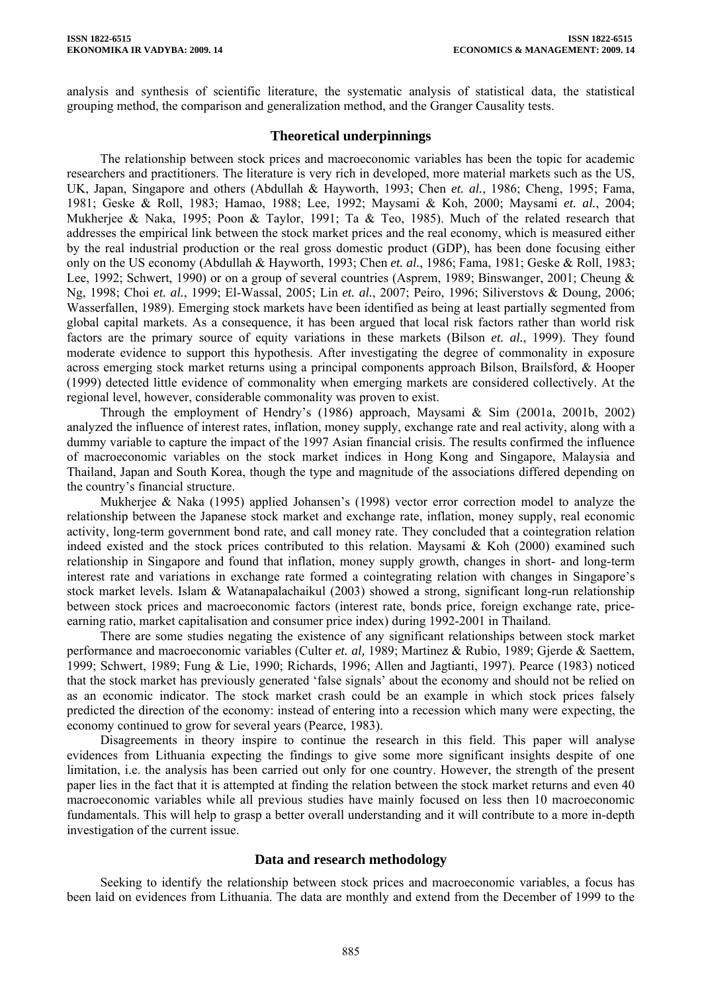analysis and synthesis of scientific literature, the systematic analysis of statistical data, the statistical grouping method, the comparison and generalization method, and the Granger Causality tests.

## **Theoretical underpinnings**

The relationship between stock prices and macroeconomic variables has been the topic for academic researchers and practitioners. The literature is very rich in developed, more material markets such as the US, UK, Japan, Singapore and others (Abdullah & Hayworth, 1993; Chen *et. al.*, 1986; Cheng, 1995; Fama, 1981; Geske & Roll, 1983; Hamao, 1988; Lee, 1992; Maysami & Koh, 2000; Maysami *et. al.*, 2004; Mukherjee & Naka, 1995; Poon & Taylor, 1991; Ta & Teo, 1985). Much of the related research that addresses the empirical link between the stock market prices and the real economy, which is measured either by the real industrial production or the real gross domestic product (GDP), has been done focusing either only on the US economy (Abdullah & Hayworth, 1993; Chen *et. al.*, 1986; Fama, 1981; Geske & Roll, 1983; Lee, 1992; Schwert, 1990) or on a group of several countries (Asprem, 1989; Binswanger, 2001; Cheung & Ng, 1998; Choi *et. al.*, 1999; El-Wassal, 2005; Lin *et. al.*, 2007; Peiro, 1996; Siliverstovs & Doung, 2006; Wasserfallen, 1989). Emerging stock markets have been identified as being at least partially segmented from global capital markets. As a consequence, it has been argued that local risk factors rather than world risk factors are the primary source of equity variations in these markets (Bilson *et. al.*, 1999). They found moderate evidence to support this hypothesis. After investigating the degree of commonality in exposure across emerging stock market returns using a principal components approach Bilson, Brailsford, & Hooper (1999) detected little evidence of commonality when emerging markets are considered collectively. At the regional level, however, considerable commonality was proven to exist.

Through the employment of Hendry's (1986) approach, Maysami & Sim (2001a, 2001b, 2002) analyzed the influence of interest rates, inflation, money supply, exchange rate and real activity, along with a dummy variable to capture the impact of the 1997 Asian financial crisis. The results confirmed the influence of macroeconomic variables on the stock market indices in Hong Kong and Singapore, Malaysia and Thailand, Japan and South Korea, though the type and magnitude of the associations differed depending on the country's financial structure.

Mukherjee & Naka (1995) applied Johansen's (1998) vector error correction model to analyze the relationship between the Japanese stock market and exchange rate, inflation, money supply, real economic activity, long-term government bond rate, and call money rate. They concluded that a cointegration relation indeed existed and the stock prices contributed to this relation. Maysami  $\&$  Koh (2000) examined such relationship in Singapore and found that inflation, money supply growth, changes in short- and long-term interest rate and variations in exchange rate formed a cointegrating relation with changes in Singapore's stock market levels. Islam & Watanapalachaikul (2003) showed a strong, significant long-run relationship between stock prices and macroeconomic factors (interest rate, bonds price, foreign exchange rate, priceearning ratio, market capitalisation and consumer price index) during 1992-2001 in Thailand.

There are some studies negating the existence of any significant relationships between stock market performance and macroeconomic variables (Culter *et. al,* 1989; Martinez & Rubio, 1989; Gjerde & Saettem, 1999; Schwert, 1989; Fung & Lie, 1990; Richards, 1996; Allen and Jagtianti, 1997). Pearce (1983) noticed that the stock market has previously generated 'false signals' about the economy and should not be relied on as an economic indicator. The stock market crash could be an example in which stock prices falsely predicted the direction of the economy: instead of entering into a recession which many were expecting, the economy continued to grow for several years (Pearce, 1983).

Disagreements in theory inspire to continue the research in this field. This paper will analyse evidences from Lithuania expecting the findings to give some more significant insights despite of one limitation, i.e. the analysis has been carried out only for one country. However, the strength of the present paper lies in the fact that it is attempted at finding the relation between the stock market returns and even 40 macroeconomic variables while all previous studies have mainly focused on less then 10 macroeconomic fundamentals. This will help to grasp a better overall understanding and it will contribute to a more in-depth investigation of the current issue.

## **Data and research methodology**

Seeking to identify the relationship between stock prices and macroeconomic variables, a focus has been laid on evidences from Lithuania. The data are monthly and extend from the December of 1999 to the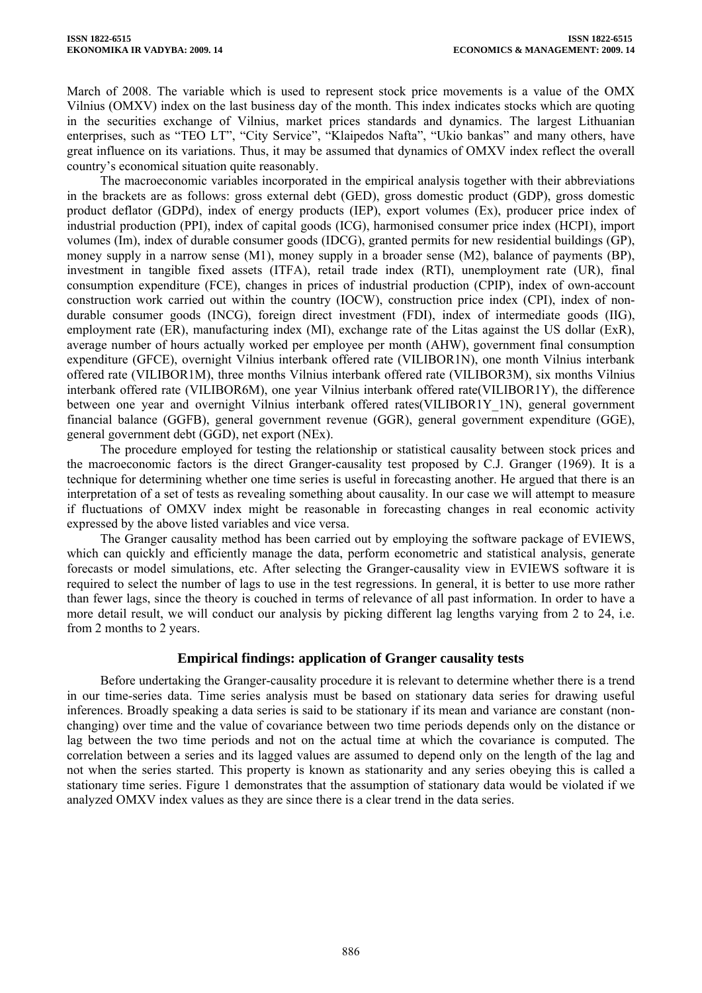March of 2008. The variable which is used to represent stock price movements is a value of the OMX Vilnius (OMXV) index on the last business day of the month. This index indicates stocks which are quoting in the securities exchange of Vilnius, market prices standards and dynamics. The largest Lithuanian enterprises, such as "TEO LT", "City Service", "Klaipedos Nafta", "Ukio bankas" and many others, have great influence on its variations. Thus, it may be assumed that dynamics of OMXV index reflect the overall country's economical situation quite reasonably.

The macroeconomic variables incorporated in the empirical analysis together with their abbreviations in the brackets are as follows: gross external debt (GED), gross domestic product (GDP), gross domestic product deflator (GDPd), index of energy products (IEP), export volumes (Ex), producer price index of industrial production (PPI), index of capital goods (ICG), harmonised consumer price index (HCPI), import volumes (Im), index of durable consumer goods (IDCG), granted permits for new residential buildings (GP), money supply in a narrow sense (M1), money supply in a broader sense (M2), balance of payments (BP), investment in tangible fixed assets (ITFA), retail trade index (RTI), unemployment rate (UR), final consumption expenditure (FCE), changes in prices of industrial production (CPIP), index of own-account construction work carried out within the country (IOCW), construction price index (CPI), index of nondurable consumer goods (INCG), foreign direct investment (FDI), index of intermediate goods (IIG), employment rate (ER), manufacturing index (MI), exchange rate of the Litas against the US dollar (ExR), average number of hours actually worked per employee per month (AHW), government final consumption expenditure (GFCE), overnight Vilnius interbank offered rate (VILIBOR1N), one month Vilnius interbank offered rate (VILIBOR1M), three months Vilnius interbank offered rate (VILIBOR3M), six months Vilnius interbank offered rate (VILIBOR6M), one year Vilnius interbank offered rate(VILIBOR1Y), the difference between one year and overnight Vilnius interbank offered rates(VILIBOR1Y\_1N), general government financial balance (GGFB), general government revenue (GGR), general government expenditure (GGE), general government debt (GGD), net export (NEx).

The procedure employed for testing the relationship or statistical causality between stock prices and the macroeconomic factors is the direct Granger-causality test proposed by C.J. Granger (1969). It is a technique for determining whether one time series is useful in forecasting another. He argued that there is an interpretation of a set of tests as revealing something about causality. In our case we will attempt to measure if fluctuations of OMXV index might be reasonable in forecasting changes in real economic activity expressed by the above listed variables and vice versa.

The Granger causality method has been carried out by employing the software package of EVIEWS, which can quickly and efficiently manage the data, perform econometric and statistical analysis, generate forecasts or model simulations, etc. After selecting the Granger-causality view in EVIEWS software it is required to select the number of lags to use in the test regressions. In general, it is better to use more rather than fewer lags, since the theory is couched in terms of relevance of all past information. In order to have a more detail result, we will conduct our analysis by picking different lag lengths varying from 2 to 24, i.e. from 2 months to 2 years.

## **Empirical findings: application of Granger causality tests**

Before undertaking the Granger-causality procedure it is relevant to determine whether there is a trend in our time-series data. Time series analysis must be based on stationary data series for drawing useful inferences. Broadly speaking a data series is said to be stationary if its mean and variance are constant (nonchanging) over time and the value of covariance between two time periods depends only on the distance or lag between the two time periods and not on the actual time at which the covariance is computed. The correlation between a series and its lagged values are assumed to depend only on the length of the lag and not when the series started. This property is known as stationarity and any series obeying this is called a stationary time series. Figure 1 demonstrates that the assumption of stationary data would be violated if we analyzed OMXV index values as they are since there is a clear trend in the data series.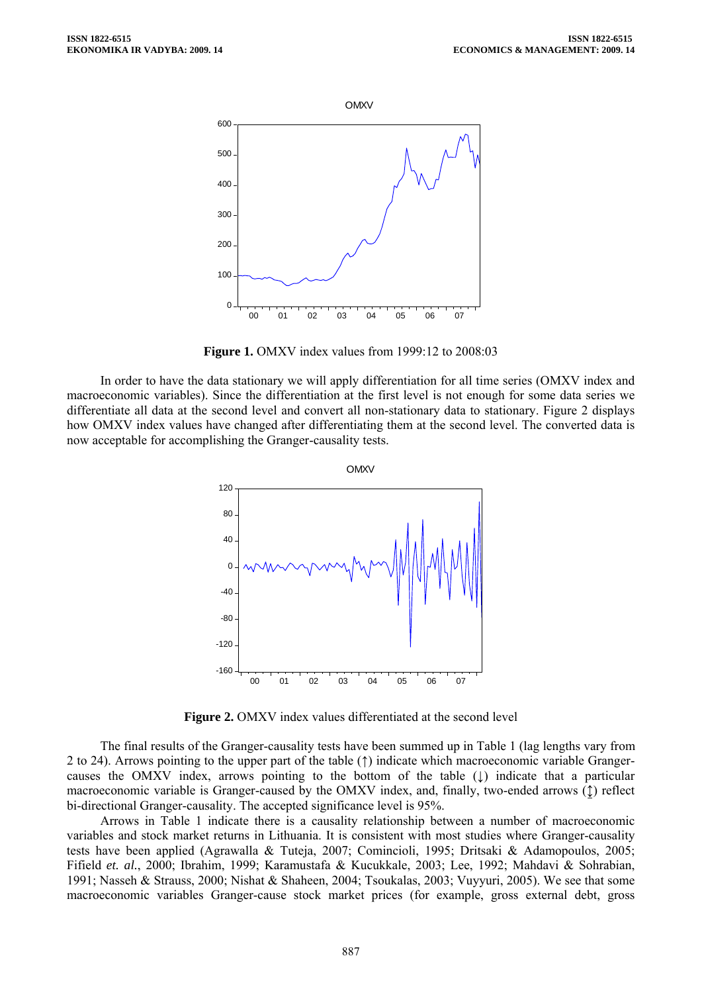

**Figure 1.** OMXV index values from 1999:12 to 2008:03

In order to have the data stationary we will apply differentiation for all time series (OMXV index and macroeconomic variables). Since the differentiation at the first level is not enough for some data series we differentiate all data at the second level and convert all non-stationary data to stationary. Figure 2 displays how OMXV index values have changed after differentiating them at the second level. The converted data is now acceptable for accomplishing the Granger-causality tests.



**Figure 2.** OMXV index values differentiated at the second level

The final results of the Granger-causality tests have been summed up in Table 1 (lag lengths vary from 2 to 24). Arrows pointing to the upper part of the table (↑) indicate which macroeconomic variable Grangercauses the OMXV index, arrows pointing to the bottom of the table  $( \downarrow )$  indicate that a particular macroeconomic variable is Granger-caused by the OMXV index, and, finally, two-ended arrows (↨) reflect bi-directional Granger-causality. The accepted significance level is 95%.

Arrows in Table 1 indicate there is a causality relationship between a number of macroeconomic variables and stock market returns in Lithuania. It is consistent with most studies where Granger-causality tests have been applied (Agrawalla & Tuteja, 2007; Comincioli, 1995; Dritsaki & Adamopoulos, 2005; Fifield *et. al.*, 2000; Ibrahim, 1999; Karamustafa & Kucukkale, 2003; Lee, 1992; Mahdavi & Sohrabian, 1991; Nasseh & Strauss, 2000; Nishat & Shaheen, 2004; Tsoukalas, 2003; Vuyyuri, 2005). We see that some macroeconomic variables Granger-cause stock market prices (for example, gross external debt, gross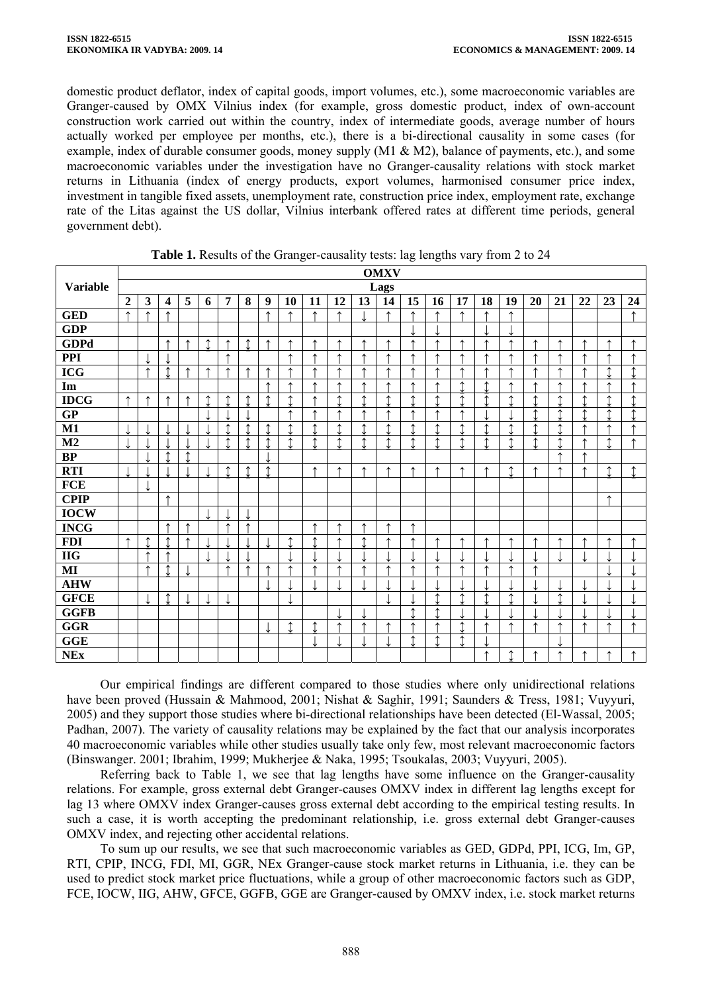domestic product deflator, index of capital goods, import volumes, etc.), some macroeconomic variables are Granger-caused by OMX Vilnius index (for example, gross domestic product, index of own-account construction work carried out within the country, index of intermediate goods, average number of hours actually worked per employee per months, etc.), there is a bi-directional causality in some cases (for example, index of durable consumer goods, money supply (M1 & M2), balance of payments, etc.), and some macroeconomic variables under the investigation have no Granger-causality relations with stock market returns in Lithuania (index of energy products, export volumes, harmonised consumer price index, investment in tangible fixed assets, unemployment rate, construction price index, employment rate, exchange rate of the Litas against the US dollar, Vilnius interbank offered rates at different time periods, general government debt).

|                 |                |               |                         |                |                |                |                |                  |            |            |                |           | <b>OMXV</b>    |                |                |                |                |                |                |                |    |                |                |
|-----------------|----------------|---------------|-------------------------|----------------|----------------|----------------|----------------|------------------|------------|------------|----------------|-----------|----------------|----------------|----------------|----------------|----------------|----------------|----------------|----------------|----|----------------|----------------|
| <b>Variable</b> |                | Lags          |                         |                |                |                |                |                  |            |            |                |           |                |                |                |                |                |                |                |                |    |                |                |
|                 | $\overline{2}$ | 3             | $\overline{\mathbf{4}}$ | 5              | 6              | $\overline{7}$ | 8              | $\boldsymbol{9}$ | 10         | 11         | 12             | 13        | 14             | 15             | 16             | 17             | 18             | 19             | 20             | 21             | 22 | 23             | 24             |
| <b>GED</b>      | ᠰ              | ᠰ             | ᠰ                       |                |                |                |                | $\uparrow$       | ↑          | ↑          | ↑              |           | ↑              | ᠰ              | ↑              | ↑              | ᠰ              | ᠰ              |                |                |    |                | ↑              |
| <b>GDP</b>      |                |               |                         |                |                |                |                |                  |            |            |                |           |                |                |                |                |                |                |                |                |    |                |                |
| <b>GDPd</b>     |                |               | ᠰ                       | ᠰ              | $\updownarrow$ | ↑              | $\updownarrow$ | ↑                | ᠰ          | $\uparrow$ | $\uparrow$     | ↑         | $\uparrow$     | $\uparrow$     | ↑              | ↑              | $\uparrow$     | ᠰ              | ᠰ              | ᠰ              | ᠰ  | $\uparrow$     | ᠰ              |
| <b>PPI</b>      |                |               | J                       |                |                | ↑              |                |                  | ᠰ          | ᠰ          | ᠰ              | ᠰ         | ᠰ              | ᄉ              | ↑              | ᠰ              | ᠰ              | ۸              |                | ᠰ              |    | ۸              | ۸              |
| <b>ICG</b>      |                | $\uparrow$    | $\updownarrow$          | ᠰ              | $\uparrow$     | ᠰ              | ↑              | ᠰ                | ᠰ          | ₳          | ᠰ              | ᠰ         | ᠰ              | ۸              | ↑              | ᠰ              | ᠰ              | ᠰ              | ᠰ              | ᠰ              |    | $\updownarrow$ | ↑              |
| Im              |                |               |                         |                |                |                |                | ↑                | ∧          | ₳          | ↑              | ₳         | ᠰ              | $\uparrow$     | ↑              | $\hat{I}$      | $\hat{I}$      | ᠰ              | ᠰ              | ᠰ              | ᠰ  | ↑              | $\uparrow$     |
| <b>IDCG</b>     | ᠰ              | ᠰ             | ᠰ                       | ↑              | ↥              | ↥              | 1              | ↑                | ↑          | ۰          | $\updownarrow$ | $\hat{I}$ | $\hat{I}$      | ↑              | $\hat{I}$      | ↑              | $\hat{I}$      | ↑              | ↑              | $\hat{I}$      | ↑  | $\updownarrow$ | ↑              |
| GP              |                |               |                         |                |                |                |                |                  | $\uparrow$ | ᠰ          | ᠰ              | ᠰ         | ᠰ              | ᠰ              | ↑              | ᠰ              |                |                | $\updownarrow$ | $\hat{I}$      | ↑  | $\updownarrow$ | ↑              |
| $\overline{M1}$ |                |               |                         |                |                | $\uparrow$     | $\updownarrow$ | $\updownarrow$   | ↑          | ↑          | $\updownarrow$ | $\hat{I}$ | $\updownarrow$ | $\updownarrow$ | $\hat{I}$      | $\updownarrow$ | $\updownarrow$ | ↑              | ↑              | $\hat{I}$      |    | ᠰ              | ᠰ              |
| M <sub>2</sub>  |                |               |                         |                |                | ↑              | $\hat{I}$      | $\updownarrow$   | ↑          | ↑          | $\updownarrow$ | $\hat{I}$ | $\updownarrow$ | ↑              | $\updownarrow$ | ↑              | $\uparrow$     | ↑              | ↑              | $\hat{I}$      | ᠰ  | $\updownarrow$ | ᠰ              |
| BP              |                |               | ↑                       | $\updownarrow$ |                |                |                |                  |            |            |                |           |                |                |                |                |                |                |                | ᠰ              | ᠰ  |                |                |
| <b>RTI</b>      |                |               |                         |                | L              | $\updownarrow$ | $\updownarrow$ | $\updownarrow$   |            | ↑          | ↑              | ₳         | ᠰ              | $\uparrow$     | ↑              | $\uparrow$     | ᠰ              | $\hat{I}$      | ᠰ              | ᠰ              | ᠰ  | $\updownarrow$ | $\updownarrow$ |
| <b>FCE</b>      |                |               |                         |                |                |                |                |                  |            |            |                |           |                |                |                |                |                |                |                |                |    |                |                |
| <b>CPIP</b>     |                |               | ᠰ                       |                |                |                |                |                  |            |            |                |           |                |                |                |                |                |                |                |                |    | ↑              |                |
| <b>IOCW</b>     |                |               |                         |                | ⇃              |                | ↓              |                  |            |            |                |           |                |                |                |                |                |                |                |                |    |                |                |
| <b>INCG</b>     |                |               | $\uparrow$              | ↑              |                | ↑              | ↑              |                  |            | ᠰ          | ↑              | ᠰ         | ↑              | ↑              |                |                |                |                |                |                |    |                |                |
| <b>FDI</b>      | ↑              | ↑             | $\hat{I}$               | ᠰ              |                |                |                |                  | ↑          | ↑          | ᠰ              | $\hat{I}$ | ᠰ              | $\uparrow$     | ↑              | ᠰ              | ᠰ              | ᠰ              | ᠰ              | ᠰ              | ᠰ  | ᠰ              | ᠰ              |
| $\mathbf{H}$    |                | $\rightarrow$ | ᠰ                       |                | J              |                | ⇃              |                  |            |            |                |           | ↓              |                | ↓              |                | J              |                |                | ↓              |    |                |                |
| $\bf MI$        |                | $\rightarrow$ | $\uparrow$              |                |                | ↑              | ↑              | ↑                | ∧          | ᠰ          | $\uparrow$     | ᠰ         | ↑              | $\uparrow$     | ↑              | ᠰ              | $\uparrow$     | $\uparrow$     | ᠰ              |                |    |                |                |
| <b>AHW</b>      |                |               |                         |                |                |                |                |                  |            |            |                |           |                |                |                |                |                |                |                |                |    |                |                |
| <b>GFCE</b>     |                | ↓             | $\updownarrow$          |                | ↓              | ↓              |                |                  | ↓          |            |                |           | ↓              |                | $\updownarrow$ | $\updownarrow$ | $\updownarrow$ | $\updownarrow$ |                | $\updownarrow$ |    | ◡              |                |
| <b>GGFB</b>     |                |               |                         |                |                |                |                |                  |            |            |                |           |                | ↑              | ↑              |                |                |                |                |                |    |                |                |
| <b>GGR</b>      |                |               |                         |                |                |                |                |                  | $\uparrow$ | ᠰ          | ∧              | ₳         | ᠰ              | $\uparrow$     | ᠰ              | $\updownarrow$ | $\uparrow$     | $\uparrow$     | ᠰ              | ₳              | ᠰ  | ₳              | $\uparrow$     |
| GGE             |                |               |                         |                |                |                |                |                  |            |            |                | ↵         |                | $\hat{I}$      | $\updownarrow$ | $\updownarrow$ |                |                |                |                |    |                |                |
| <b>NEx</b>      |                |               |                         |                |                |                |                |                  |            |            |                |           |                |                |                |                | ᠰ              | $\updownarrow$ | ᠰ              | ᠰ              | ᠰ  | ᠰ              | ↑              |

**Table 1.** Results of the Granger-causality tests: lag lengths vary from 2 to 24

Our empirical findings are different compared to those studies where only unidirectional relations have been proved (Hussain & Mahmood, 2001; Nishat & Saghir, 1991; Saunders & Tress, 1981; Vuyyuri, 2005) and they support those studies where bi-directional relationships have been detected (El-Wassal, 2005; Padhan, 2007). The variety of causality relations may be explained by the fact that our analysis incorporates 40 macroeconomic variables while other studies usually take only few, most relevant macroeconomic factors (Binswanger. 2001; Ibrahim, 1999; Mukherjee & Naka, 1995; Tsoukalas, 2003; Vuyyuri, 2005).

Referring back to Table 1, we see that lag lengths have some influence on the Granger-causality relations. For example, gross external debt Granger-causes OMXV index in different lag lengths except for lag 13 where OMXV index Granger-causes gross external debt according to the empirical testing results. In such a case, it is worth accepting the predominant relationship, i.e. gross external debt Granger-causes OMXV index, and rejecting other accidental relations.

To sum up our results, we see that such macroeconomic variables as GED, GDPd, PPI, ICG, Im, GP, RTI, CPIP, INCG, FDI, MI, GGR, NEx Granger-cause stock market returns in Lithuania, i.e. they can be used to predict stock market price fluctuations, while a group of other macroeconomic factors such as GDP, FCE, IOCW, IIG, AHW, GFCE, GGFB, GGE are Granger-caused by OMXV index, i.e. stock market returns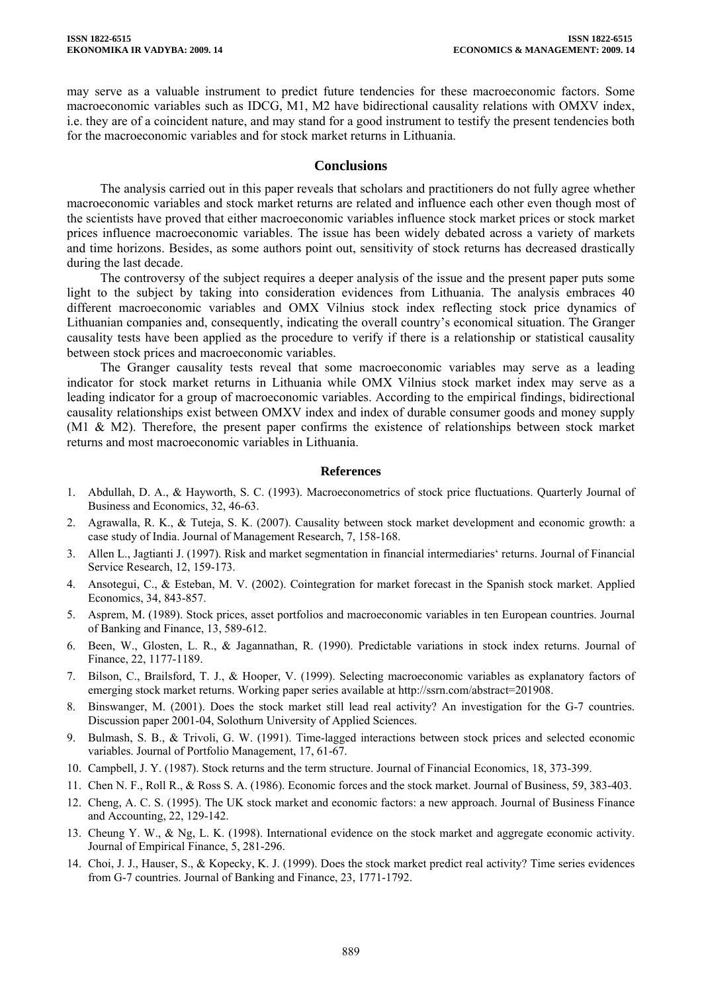may serve as a valuable instrument to predict future tendencies for these macroeconomic factors. Some macroeconomic variables such as IDCG, M1, M2 have bidirectional causality relations with OMXV index, i.e. they are of a coincident nature, and may stand for a good instrument to testify the present tendencies both for the macroeconomic variables and for stock market returns in Lithuania.

### **Conclusions**

The analysis carried out in this paper reveals that scholars and practitioners do not fully agree whether macroeconomic variables and stock market returns are related and influence each other even though most of the scientists have proved that either macroeconomic variables influence stock market prices or stock market prices influence macroeconomic variables. The issue has been widely debated across a variety of markets and time horizons. Besides, as some authors point out, sensitivity of stock returns has decreased drastically during the last decade.

The controversy of the subject requires a deeper analysis of the issue and the present paper puts some light to the subject by taking into consideration evidences from Lithuania. The analysis embraces 40 different macroeconomic variables and OMX Vilnius stock index reflecting stock price dynamics of Lithuanian companies and, consequently, indicating the overall country's economical situation. The Granger causality tests have been applied as the procedure to verify if there is a relationship or statistical causality between stock prices and macroeconomic variables.

The Granger causality tests reveal that some macroeconomic variables may serve as a leading indicator for stock market returns in Lithuania while OMX Vilnius stock market index may serve as a leading indicator for a group of macroeconomic variables. According to the empirical findings, bidirectional causality relationships exist between OMXV index and index of durable consumer goods and money supply (M1 & M2). Therefore, the present paper confirms the existence of relationships between stock market returns and most macroeconomic variables in Lithuania.

#### **References**

- 1. Abdullah, D. A., & Hayworth, S. C. (1993). Macroeconometrics of stock price fluctuations. Quarterly Journal of Business and Economics, 32, 46-63.
- 2. Agrawalla, R. K., & Tuteja, S. K. (2007). Causality between stock market development and economic growth: a case study of India. Journal of Management Research, 7, 158-168.
- 3. Allen L., Jagtianti J. (1997). Risk and market segmentation in financial intermediaries' returns. Journal of Financial Service Research, 12, 159-173.
- 4. Ansotegui, C., & Esteban, M. V. (2002). Cointegration for market forecast in the Spanish stock market. Applied Economics, 34, 843-857.
- 5. Asprem, M. (1989). Stock prices, asset portfolios and macroeconomic variables in ten European countries. Journal of Banking and Finance, 13, 589-612.
- 6. Been, W., Glosten, L. R., & Jagannathan, R. (1990). Predictable variations in stock index returns. Journal of Finance, 22, 1177-1189.
- 7. Bilson, C., Brailsford, T. J., & Hooper, V. (1999). Selecting macroeconomic variables as explanatory factors of emerging stock market returns. Working paper series available at http://ssrn.com/abstract=201908.
- 8. Binswanger, M. (2001). Does the stock market still lead real activity? An investigation for the G-7 countries. Discussion paper 2001-04, Solothurn University of Applied Sciences.
- 9. Bulmash, S. B., & Trivoli, G. W. (1991). Time-lagged interactions between stock prices and selected economic variables. Journal of Portfolio Management, 17, 61-67.
- 10. Campbell, J. Y. (1987). Stock returns and the term structure. Journal of Financial Economics, 18, 373-399.
- 11. Chen N. F., Roll R., & Ross S. A. (1986). Economic forces and the stock market. Journal of Business, 59, 383-403.
- 12. Cheng, A. C. S. (1995). The UK stock market and economic factors: a new approach. Journal of Business Finance and Accounting, 22, 129-142.
- 13. Cheung Y. W., & Ng, L. K. (1998). International evidence on the stock market and aggregate economic activity. Journal of Empirical Finance, 5, 281-296.
- 14. Choi, J. J., Hauser, S., & Kopecky, K. J. (1999). Does the stock market predict real activity? Time series evidences from G-7 countries. Journal of Banking and Finance, 23, 1771-1792.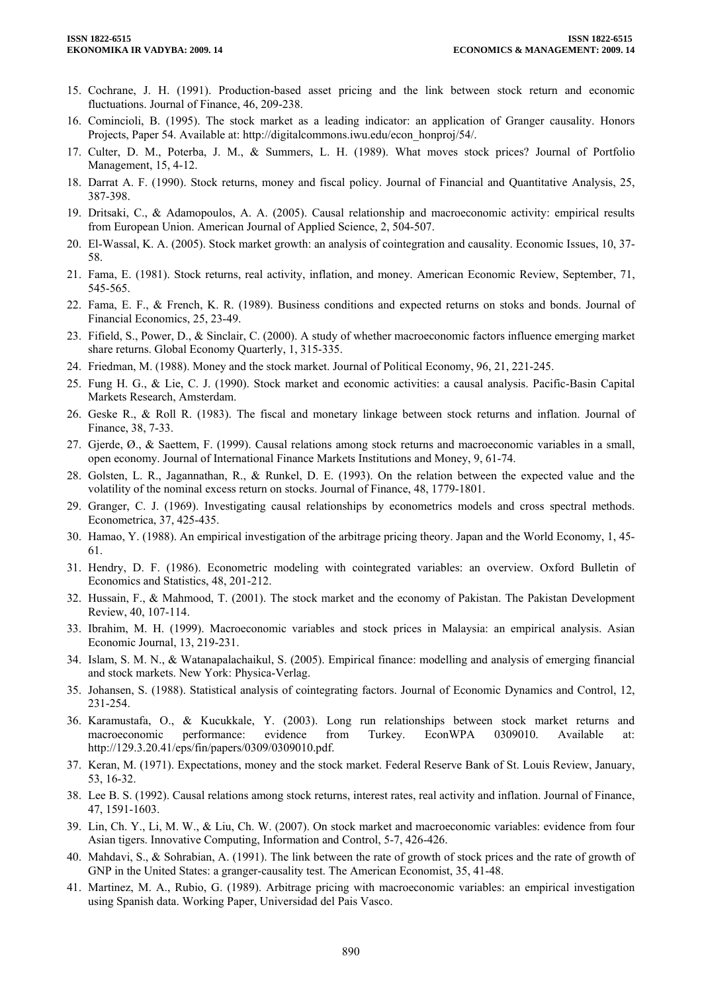- 15. Cochrane, J. H. (1991). Production-based asset pricing and the link between stock return and economic fluctuations. Journal of Finance, 46, 209-238.
- 16. Comincioli, B. (1995). The stock market as a leading indicator: an application of Granger causality. Honors Projects, Paper 54. Available at: [http://digitalcommons.iwu.edu/econ\\_honproj/54/](http://digitalcommons.iwu.edu/econ_honproj/54/).
- 17. Culter, D. M., Poterba, J. M., & Summers, L. H. (1989). What moves stock prices? Journal of Portfolio Management, 15, 4-12.
- 18. Darrat A. F. (1990). Stock returns, money and fiscal policy. Journal of Financial and Quantitative Analysis, 25, 387-398.
- 19. Dritsaki, C., & Adamopoulos, A. A. (2005). Causal relationship and macroeconomic activity: empirical results from European Union. American Journal of Applied Science, 2, 504-507.
- 20. El-Wassal, K. A. (2005). Stock market growth: an analysis of cointegration and causality. Economic Issues, 10, 37- 58.
- 21. Fama, E. (1981). Stock returns, real activity, inflation, and money. American Economic Review, September, 71, 545-565.
- 22. Fama, E. F., & French, K. R. (1989). Business conditions and expected returns on stoks and bonds. Journal of Financial Economics, 25, 23-49.
- 23. Fifield, S., Power, D., & Sinclair, C. (2000). A study of whether macroeconomic factors influence emerging market share returns. Global Economy Quarterly, 1, 315-335.
- 24. Friedman, M. (1988). Money and the stock market. Journal of Political Economy, 96, 21, 221-245.
- 25. Fung H. G., & Lie, C. J. (1990). Stock market and economic activities: a causal analysis. Pacific-Basin Capital Markets Research, Amsterdam.
- 26. Geske R., & Roll R. (1983). The fiscal and monetary linkage between stock returns and inflation. Journal of Finance, 38, 7-33.
- 27. Gjerde, Ø., & Saettem, F. (1999). Causal relations among stock returns and macroeconomic variables in a small, open economy. Journal of International Finance Markets Institutions and Money, 9, 61-74.
- 28. Golsten, L. R., Jagannathan, R., & Runkel, D. E. (1993). On the relation between the expected value and the volatility of the nominal excess return on stocks. Journal of Finance, 48, 1779-1801.
- 29. Granger, C. J. (1969). Investigating causal relationships by econometrics models and cross spectral methods. Econometrica, 37, 425-435.
- 30. Hamao, Y. (1988). An empirical investigation of the arbitrage pricing theory. Japan and the World Economy, 1, 45- 61.
- 31. Hendry, D. F. (1986). Econometric modeling with cointegrated variables: an overview. Oxford Bulletin of Economics and Statistics, 48, 201-212.
- 32. Hussain, F., & Mahmood, T. (2001). The stock market and the economy of Pakistan. The Pakistan Development Review, 40, 107-114.
- 33. Ibrahim, M. H. (1999). Macroeconomic variables and stock prices in Malaysia: an empirical analysis. Asian Economic Journal, 13, 219-231.
- 34. Islam, S. M. N., & Watanapalachaikul, S. (2005). Empirical finance: modelling and analysis of emerging financial and stock markets. New York: Physica-Verlag.
- 35. Johansen, S. (1988). Statistical analysis of cointegrating factors. Journal of Economic Dynamics and Control, 12, 231-254.
- 36. Karamustafa, O., & Kucukkale, Y. (2003). Long run relationships between stock market returns and macroeconomic performance: evidence from Turkey. EconWPA 0309010. Available at: <http://129.3.20.41/eps/fin/papers/0309/0309010.pdf>.
- 37. Keran, M. (1971). Expectations, money and the stock market. Federal Reserve Bank of St. Louis Review, January, 53, 16-32.
- 38. Lee B. S. (1992). Causal relations among stock returns, interest rates, real activity and inflation. Journal of Finance, 47, 1591-1603.
- 39. Lin, Ch. Y., Li, M. W., & Liu, Ch. W. (2007). On stock market and macroeconomic variables: evidence from four Asian tigers. Innovative Computing, Information and Control, 5-7, 426-426.
- 40. Mahdavi, S., & Sohrabian, A. (1991). The link between the rate of growth of stock prices and the rate of growth of GNP in the United States: a granger-causality test. The American Economist, 35, 41-48.
- 41. Martinez, M. A., Rubio, G. (1989). Arbitrage pricing with macroeconomic variables: an empirical investigation using Spanish data. Working Paper, Universidad del Pais Vasco.